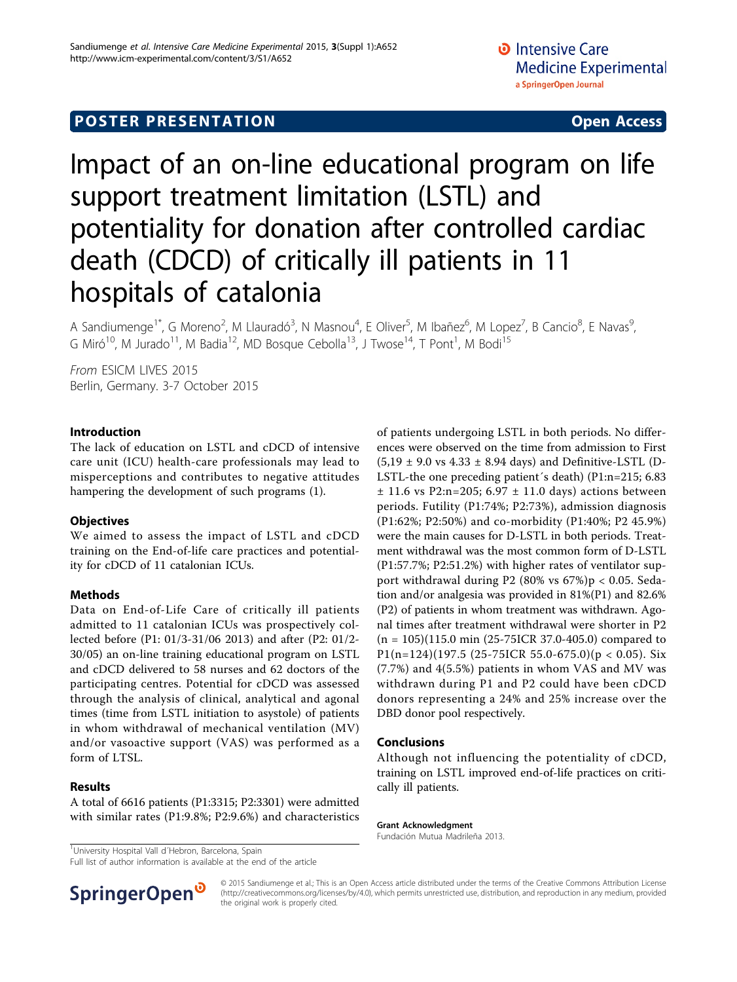# **POSTER PRESENTATION CONSUMING ACCESS**

# Impact of an on-line educational program on life support treatment limitation (LSTL) and potentiality for donation after controlled cardiac death (CDCD) of critically ill patients in 11 hospitals of catalonia

A Sandiumenge<sup>1\*</sup>, G Moreno<sup>2</sup>, M Llauradó<sup>3</sup>, N Masnou<sup>4</sup>, E Oliver<sup>5</sup>, M Ibañez<sup>6</sup>, M Lopez<sup>7</sup>, B Cancio<sup>8</sup>, E Navas<sup>9</sup> , G Miró<sup>10</sup>, M Jurado<sup>11</sup>, M Badia<sup>12</sup>, MD Bosque Cebolla<sup>13</sup>, J Twose<sup>14</sup>, T Pont<sup>1</sup>, M Bodi<sup>15</sup>

From ESICM LIVES 2015 Berlin, Germany. 3-7 October 2015

# Introduction

The lack of education on LSTL and cDCD of intensive care unit (ICU) health-care professionals may lead to misperceptions and contributes to negative attitudes hampering the development of such programs (1).

# **Objectives**

We aimed to assess the impact of LSTL and cDCD training on the End-of-life care practices and potentiality for cDCD of 11 catalonian ICUs.

#### Methods

Data on End-of-Life Care of critically ill patients admitted to 11 catalonian ICUs was prospectively collected before (P1: 01/3-31/06 2013) and after (P2: 01/2- 30/05) an on-line training educational program on LSTL and cDCD delivered to 58 nurses and 62 doctors of the participating centres. Potential for cDCD was assessed through the analysis of clinical, analytical and agonal times (time from LSTL initiation to asystole) of patients in whom withdrawal of mechanical ventilation (MV) and/or vasoactive support (VAS) was performed as a form of LTSL.

# Results

A total of 6616 patients (P1:3315; P2:3301) were admitted with similar rates (P1:9.8%; P2:9.6%) and characteristics

<sup>1</sup>University Hospital Vall d'Hebron, Barcelona, Spain

Full list of author information is available at the end of the article



#### Conclusions

Although not influencing the potentiality of cDCD, training on LSTL improved end-of-life practices on critically ill patients.

#### Grant Acknowledgment

Fundación Mutua Madrileña 2013.



© 2015 Sandiumenge et al.; This is an Open Access article distributed under the terms of the Creative Commons Attribution License [\(http://creativecommons.org/licenses/by/4.0](http://creativecommons.org/licenses/by/4.0)), which permits unrestricted use, distribution, and reproduction in any medium, provided the original work is properly cited.